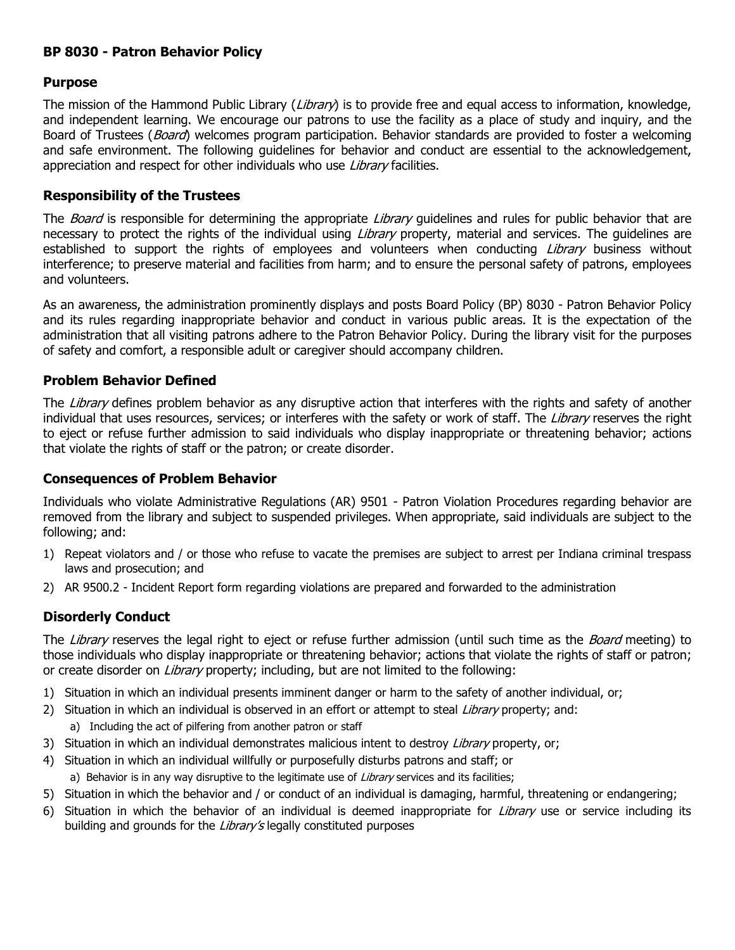## **BP 8030 - Patron Behavior Policy**

## **Purpose**

The mission of the Hammond Public Library (Library) is to provide free and equal access to information, knowledge, and independent learning. We encourage our patrons to use the facility as a place of study and inquiry, and the Board of Trustees (*Board*) welcomes program participation. Behavior standards are provided to foster a welcoming and safe environment. The following guidelines for behavior and conduct are essential to the acknowledgement, appreciation and respect for other individuals who use Library facilities.

## **Responsibility of the Trustees**

The *Board* is responsible for determining the appropriate *Library* guidelines and rules for public behavior that are necessary to protect the rights of the individual using Library property, material and services. The guidelines are established to support the rights of employees and volunteers when conducting *Library* business without interference; to preserve material and facilities from harm; and to ensure the personal safety of patrons, employees and volunteers.

As an awareness, the administration prominently displays and posts Board Policy (BP) 8030 - Patron Behavior Policy and its rules regarding inappropriate behavior and conduct in various public areas. It is the expectation of the administration that all visiting patrons adhere to the Patron Behavior Policy. During the library visit for the purposes of safety and comfort, a responsible adult or caregiver should accompany children.

## **Problem Behavior Defined**

The Library defines problem behavior as any disruptive action that interferes with the rights and safety of another individual that uses resources, services; or interferes with the safety or work of staff. The Library reserves the right to eject or refuse further admission to said individuals who display inappropriate or threatening behavior; actions that violate the rights of staff or the patron; or create disorder.

#### **Consequences of Problem Behavior**

Individuals who violate Administrative Regulations (AR) 9501 - Patron Violation Procedures regarding behavior are removed from the library and subject to suspended privileges. When appropriate, said individuals are subject to the following; and:

- 1) Repeat violators and / or those who refuse to vacate the premises are subject to arrest per Indiana criminal trespass laws and prosecution; and
- 2) AR 9500.2 Incident Report form regarding violations are prepared and forwarded to the administration

## **Disorderly Conduct**

The Library reserves the legal right to eject or refuse further admission (until such time as the *Board* meeting) to those individuals who display inappropriate or threatening behavior; actions that violate the rights of staff or patron; or create disorder on *Library* property; including, but are not limited to the following:

- 1) Situation in which an individual presents imminent danger or harm to the safety of another individual, or;
- 2) Situation in which an individual is observed in an effort or attempt to steal Library property; and: a) Including the act of pilfering from another patron or staff
- 3) Situation in which an individual demonstrates malicious intent to destroy Library property, or;
- 4) Situation in which an individual willfully or purposefully disturbs patrons and staff; or a) Behavior is in any way disruptive to the legitimate use of Library services and its facilities;
- 5) Situation in which the behavior and / or conduct of an individual is damaging, harmful, threatening or endangering;
- 6) Situation in which the behavior of an individual is deemed inappropriate for Library use or service including its building and grounds for the Library's legally constituted purposes